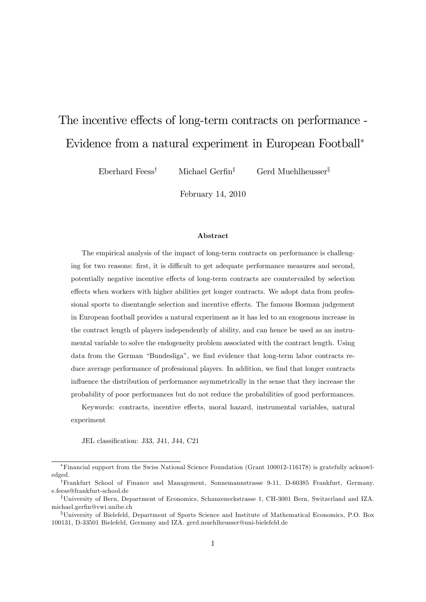# The incentive effects of long-term contracts on performance -Evidence from a natural experiment in European Football

Eberhard Feess<sup>†</sup> Michael Gerfin<sup>‡</sup> Gerd Muehlheusser<sup>§</sup>

February 14, 2010

#### Abstract

The empirical analysis of the impact of long-term contracts on performance is challenging for two reasons: first, it is difficult to get adequate performance measures and second, potentially negative incentive effects of long-term contracts are countervailed by selection effects when workers with higher abilities get longer contracts. We adopt data from professional sports to disentangle selection and incentive effects. The famous Bosman judgement in European football provides a natural experiment as it has led to an exogenous increase in the contract length of players independently of ability, and can hence be used as an instrumental variable to solve the endogeneity problem associated with the contract length. Using data from the German "Bundesliga", we find evidence that long-term labor contracts reduce average performance of professional players. In addition, we find that longer contracts influence the distribution of performance asymmetrically in the sense that they increase the probability of poor performances but do not reduce the probabilities of good performances.

Keywords: contracts, incentive effects, moral hazard, instrumental variables, natural experiment

JEL classification: J33, J41, J44, C21

Financial support from the Swiss National Science Foundation (Grant 100012-116178) is gratefully acknowledged.

<sup>&</sup>lt;sup>†</sup>Frankfurt School of Finance and Management, Sonnemannstrasse 9-11, D-60385 Frankfurt, Germany. e.feess@frankfurt-school.de

<sup>&</sup>lt;sup>‡</sup>University of Bern, Department of Economics, Schanzeneckstrasse 1, CH-3001 Bern, Switzerland and IZA. michael.gerfin@vwi.unibe.ch

<sup>x</sup>University of Bielefeld, Department of Sports Science and Institute of Mathematical Economics, P.O. Box 100131, D-33501 Bielefeld, Germany and IZA. gerd.muehlheusser@uni-bielefeld.de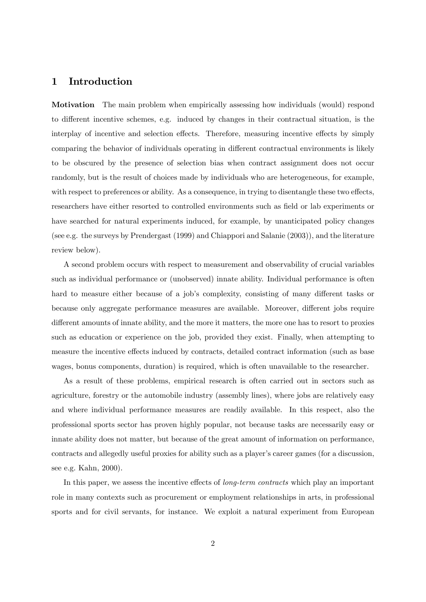## 1 Introduction

Motivation The main problem when empirically assessing how individuals (would) respond to different incentive schemes, e.g. induced by changes in their contractual situation, is the interplay of incentive and selection effects. Therefore, measuring incentive effects by simply comparing the behavior of individuals operating in different contractual environments is likely to be obscured by the presence of selection bias when contract assignment does not occur randomly, but is the result of choices made by individuals who are heterogeneous, for example, with respect to preferences or ability. As a consequence, in trying to disentangle these two effects, researchers have either resorted to controlled environments such as field or lab experiments or have searched for natural experiments induced, for example, by unanticipated policy changes (see e.g. the surveys by Prendergast (1999) and Chiappori and Salanie (2003)), and the literature review below).

A second problem occurs with respect to measurement and observability of crucial variables such as individual performance or (unobserved) innate ability. Individual performance is often hard to measure either because of a job's complexity, consisting of many different tasks or because only aggregate performance measures are available. Moreover, different jobs require different amounts of innate ability, and the more it matters, the more one has to resort to proxies such as education or experience on the job, provided they exist. Finally, when attempting to measure the incentive effects induced by contracts, detailed contract information (such as base wages, bonus components, duration) is required, which is often unavailable to the researcher.

As a result of these problems, empirical research is often carried out in sectors such as agriculture, forestry or the automobile industry (assembly lines), where jobs are relatively easy and where individual performance measures are readily available. In this respect, also the professional sports sector has proven highly popular, not because tasks are necessarily easy or innate ability does not matter, but because of the great amount of information on performance, contracts and allegedly useful proxies for ability such as a player's career games (for a discussion, see e.g. Kahn, 2000).

In this paper, we assess the incentive effects of *long-term contracts* which play an important role in many contexts such as procurement or employment relationships in arts, in professional sports and for civil servants, for instance. We exploit a natural experiment from European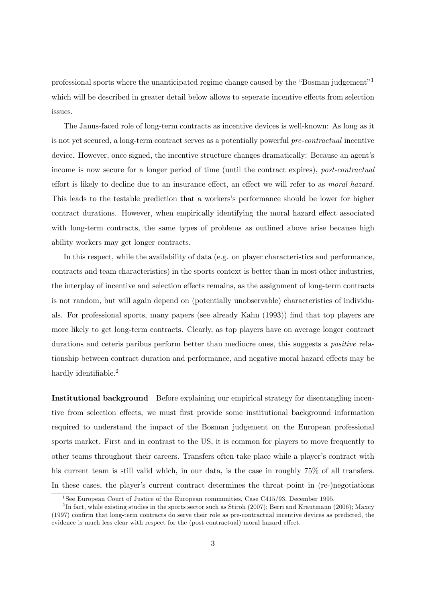professional sports where the unanticipated regime change caused by the "Bosman judgement"<sup>1</sup> which will be described in greater detail below allows to seperate incentive effects from selection issues.

The Janus-faced role of long-term contracts as incentive devices is well-known: As long as it is not yet secured, a long-term contract serves as a potentially powerful pre-contractual incentive device. However, once signed, the incentive structure changes dramatically: Because an agent's income is now secure for a longer period of time (until the contract expires), post-contractual effort is likely to decline due to an insurance effect, an effect we will refer to as *moral hazard*. This leads to the testable prediction that a workersís performance should be lower for higher contract durations. However, when empirically identifying the moral hazard effect associated with long-term contracts, the same types of problems as outlined above arise because high ability workers may get longer contracts.

In this respect, while the availability of data (e.g. on player characteristics and performance, contracts and team characteristics) in the sports context is better than in most other industries, the interplay of incentive and selection effects remains, as the assignment of long-term contracts is not random, but will again depend on (potentially unobservable) characteristics of individuals. For professional sports, many papers (see already Kahn (1993)) Önd that top players are more likely to get long-term contracts. Clearly, as top players have on average longer contract durations and ceteris paribus perform better than mediocre ones, this suggests a *positive* relationship between contract duration and performance, and negative moral hazard effects may be hardly identifiable. $^{2}$ 

Institutional background Before explaining our empirical strategy for disentangling incentive from selection effects, we must first provide some institutional background information required to understand the impact of the Bosman judgement on the European professional sports market. First and in contrast to the US, it is common for players to move frequently to other teams throughout their careers. Transfers often take place while a player's contract with his current team is still valid which, in our data, is the case in roughly 75% of all transfers. In these cases, the player's current contract determines the threat point in (re-)negotiations

<sup>&</sup>lt;sup>1</sup>See European Court of Justice of the European communities, Case C415/93, December 1995.

 $^{2}$ In fact, while existing studies in the sports sector such as Stiroh (2007); Berri and Krautmann (2006); Maxcy  $(1997)$  confirm that long-term contracts do serve their role as pre-contractual incentive devices as predicted, the evidence is much less clear with respect for the (post-contractual) moral hazard effect.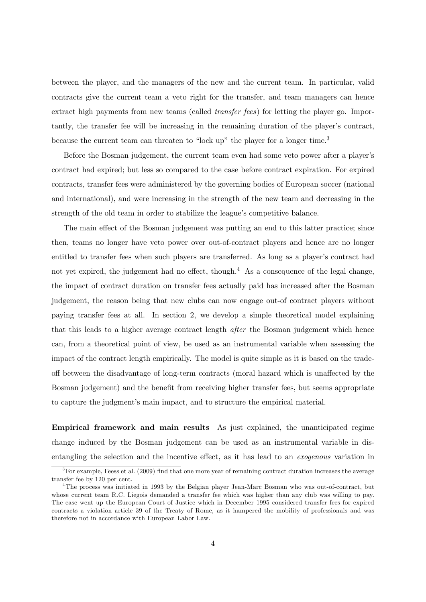between the player, and the managers of the new and the current team. In particular, valid contracts give the current team a veto right for the transfer, and team managers can hence extract high payments from new teams (called transfer fees) for letting the player go. Importantly, the transfer fee will be increasing in the remaining duration of the player's contract, because the current team can threaten to "lock up" the player for a longer time.<sup>3</sup>

Before the Bosman judgement, the current team even had some veto power after a player's contract had expired; but less so compared to the case before contract expiration. For expired contracts, transfer fees were administered by the governing bodies of European soccer (national and international), and were increasing in the strength of the new team and decreasing in the strength of the old team in order to stabilize the league's competitive balance.

The main effect of the Bosman judgement was putting an end to this latter practice; since then, teams no longer have veto power over out-of-contract players and hence are no longer entitled to transfer fees when such players are transferred. As long as a player's contract had not yet expired, the judgement had no effect, though.<sup>4</sup> As a consequence of the legal change, the impact of contract duration on transfer fees actually paid has increased after the Bosman judgement, the reason being that new clubs can now engage out-of contract players without paying transfer fees at all. In section 2, we develop a simple theoretical model explaining that this leads to a higher average contract length after the Bosman judgement which hence can, from a theoretical point of view, be used as an instrumental variable when assessing the impact of the contract length empirically. The model is quite simple as it is based on the tradeoff between the disadvantage of long-term contracts (moral hazard which is unaffected by the Bosman judgement) and the benefit from receiving higher transfer fees, but seems appropriate to capture the judgment's main impact, and to structure the empirical material.

Empirical framework and main results As just explained, the unanticipated regime change induced by the Bosman judgement can be used as an instrumental variable in disentangling the selection and the incentive effect, as it has lead to an *exogenous* variation in

<sup>&</sup>lt;sup>3</sup>For example, Feess et al. (2009) find that one more year of remaining contract duration increases the average transfer fee by 120 per cent.

<sup>&</sup>lt;sup>4</sup>The process was initiated in 1993 by the Belgian player Jean-Marc Bosman who was out-of-contract, but whose current team R.C. Liegois demanded a transfer fee which was higher than any club was willing to pay. The case went up the European Court of Justice which in December 1995 considered transfer fees for expired contracts a violation article 39 of the Treaty of Rome, as it hampered the mobility of professionals and was therefore not in accordance with European Labor Law.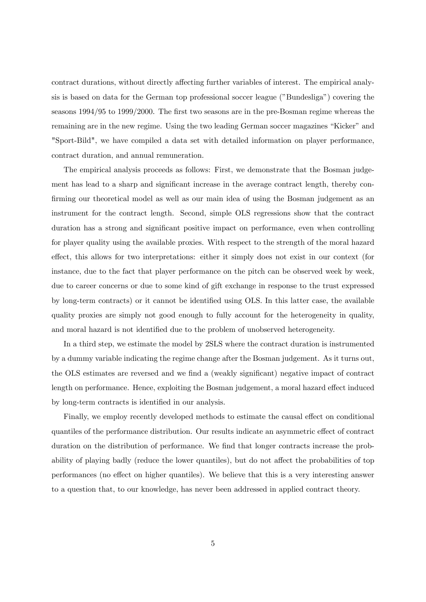contract durations, without directly affecting further variables of interest. The empirical analysis is based on data for the German top professional soccer league ("Bundesliga") covering the seasons 1994/95 to 1999/2000. The first two seasons are in the pre-Bosman regime whereas the remaining are in the new regime. Using the two leading German soccer magazines "Kicker" and "Sport-Bild", we have compiled a data set with detailed information on player performance, contract duration, and annual remuneration.

The empirical analysis proceeds as follows: First, we demonstrate that the Bosman judgement has lead to a sharp and significant increase in the average contract length, thereby confirming our theoretical model as well as our main idea of using the Bosman judgement as an instrument for the contract length. Second, simple OLS regressions show that the contract duration has a strong and significant positive impact on performance, even when controlling for player quality using the available proxies. With respect to the strength of the moral hazard effect, this allows for two interpretations: either it simply does not exist in our context (for instance, due to the fact that player performance on the pitch can be observed week by week, due to career concerns or due to some kind of gift exchange in response to the trust expressed by long-term contracts) or it cannot be identified using OLS. In this latter case, the available quality proxies are simply not good enough to fully account for the heterogeneity in quality, and moral hazard is not identified due to the problem of unobserved heterogeneity.

In a third step, we estimate the model by 2SLS where the contract duration is instrumented by a dummy variable indicating the regime change after the Bosman judgement. As it turns out, the OLS estimates are reversed and we find a (weakly significant) negative impact of contract length on performance. Hence, exploiting the Bosman judgement, a moral hazard effect induced by long-term contracts is identified in our analysis.

Finally, we employ recently developed methods to estimate the causal effect on conditional quantiles of the performance distribution. Our results indicate an asymmetric effect of contract duration on the distribution of performance. We find that longer contracts increase the probability of playing badly (reduce the lower quantiles), but do not affect the probabilities of top performances (no effect on higher quantiles). We believe that this is a very interesting answer to a question that, to our knowledge, has never been addressed in applied contract theory.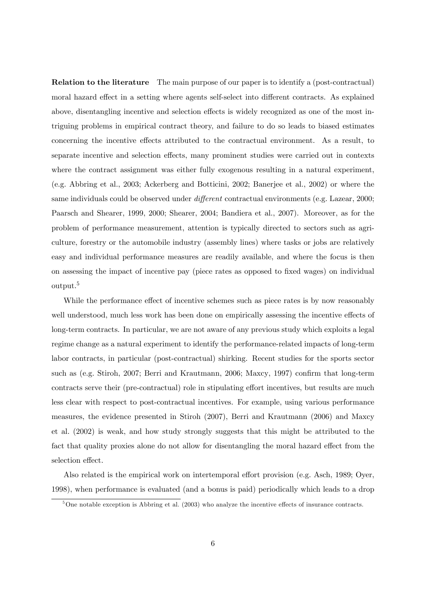Relation to the literature The main purpose of our paper is to identify a (post-contractual) moral hazard effect in a setting where agents self-select into different contracts. As explained above, disentangling incentive and selection effects is widely recognized as one of the most intriguing problems in empirical contract theory, and failure to do so leads to biased estimates concerning the incentive effects attributed to the contractual environment. As a result, to separate incentive and selection effects, many prominent studies were carried out in contexts where the contract assignment was either fully exogenous resulting in a natural experiment, (e.g. Abbring et al., 2003; Ackerberg and Botticini, 2002; Banerjee et al., 2002) or where the same individuals could be observed under *different* contractual environments (e.g. Lazear, 2000; Paarsch and Shearer, 1999, 2000; Shearer, 2004; Bandiera et al., 2007). Moreover, as for the problem of performance measurement, attention is typically directed to sectors such as agriculture, forestry or the automobile industry (assembly lines) where tasks or jobs are relatively easy and individual performance measures are readily available, and where the focus is then on assessing the impact of incentive pay (piece rates as opposed to Öxed wages) on individual output.<sup>5</sup>

While the performance effect of incentive schemes such as piece rates is by now reasonably well understood, much less work has been done on empirically assessing the incentive effects of long-term contracts. In particular, we are not aware of any previous study which exploits a legal regime change as a natural experiment to identify the performance-related impacts of long-term labor contracts, in particular (post-contractual) shirking. Recent studies for the sports sector such as (e.g. Stiroh, 2007; Berri and Krautmann, 2006; Maxcy, 1997) confirm that long-term contracts serve their (pre-contractual) role in stipulating effort incentives, but results are much less clear with respect to post-contractual incentives. For example, using various performance measures, the evidence presented in Stiroh (2007), Berri and Krautmann (2006) and Maxcy et al. (2002) is weak, and how study strongly suggests that this might be attributed to the fact that quality proxies alone do not allow for disentangling the moral hazard effect from the selection effect.

Also related is the empirical work on intertemporal effort provision (e.g. Asch, 1989; Oyer, 1998), when performance is evaluated (and a bonus is paid) periodically which leads to a drop

 $5\overline{\text{One notable exception is } }$  Abbring et al. (2003) who analyze the incentive effects of insurance contracts.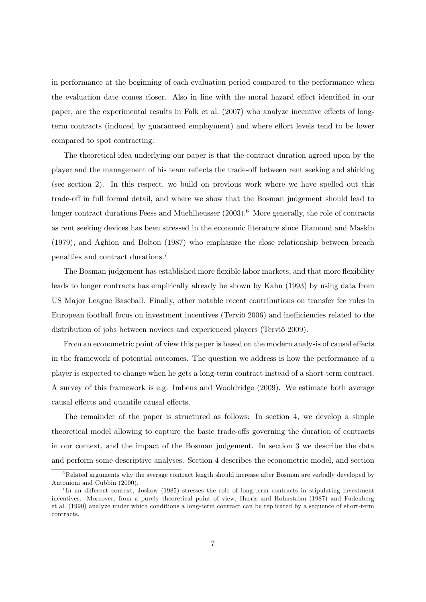in performance at the beginning of each evaluation period compared to the performance when the evaluation date comes closer. Also in line with the moral hazard effect identified in our paper, are the experimental results in Falk et al.  $(2007)$  who analyze incentive effects of longterm contracts (induced by guaranteed employment) and where effort levels tend to be lower compared to spot contracting.

The theoretical idea underlying our paper is that the contract duration agreed upon by the player and the management of his team reflects the trade-off between rent seeking and shirking (see section 2). In this respect, we build on previous work where we have spelled out this trade-off in full formal detail, and where we show that the Bosman judgement should lead to longer contract durations Feess and Muehlheusser  $(2003).<sup>6</sup>$  More generally, the role of contracts as rent seeking devices has been stressed in the economic literature since Diamond and Maskin (1979), and Aghion and Bolton (1987) who emphasize the close relationship between breach penalties and contract durations.<sup>7</sup>

The Bosman judgement has established more flexible labor markets, and that more flexibility leads to longer contracts has empirically already be shown by Kahn (1993) by using data from US Major League Baseball. Finally, other notable recent contributions on transfer fee rules in European football focus on investment incentives (Tervio 2006) and inefficiencies related to the distribution of jobs between novices and experienced players (Tervio 2009).

From an econometric point of view this paper is based on the modern analysis of causal effects in the framework of potential outcomes. The question we address is how the performance of a player is expected to change when he gets a long-term contract instead of a short-term contract. A survey of this framework is e.g. Imbens and Wooldridge (2009). We estimate both average causal effects and quantile causal effects.

The remainder of the paper is structured as follows: In section 4, we develop a simple theoretical model allowing to capture the basic trade-offs governing the duration of contracts in our context, and the impact of the Bosman judgement. In section 3 we describe the data and perform some descriptive analyses. Section 4 describes the econometric model, and section

 ${}^{6}$ Related arguments why the average contract length should increase after Bosman are verbally developed by Antonioni and Cubbin (2000).

<sup>&</sup>lt;sup>7</sup>In an different context, Joskow (1985) stresses the role of long-term contracts in stipulating investment incentives. Moreover, from a purely theoretical point of view, Harris and Holmström (1987) and Fudenberg et al. (1990) analyze under which conditions a long-term contract can be replicated by a sequence of short-term contracts.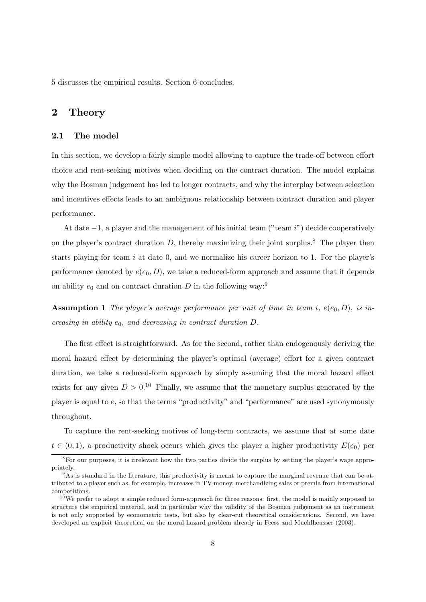5 discusses the empirical results. Section 6 concludes.

## 2 Theory

#### 2.1 The model

In this section, we develop a fairly simple model allowing to capture the trade-off between effort choice and rent-seeking motives when deciding on the contract duration. The model explains why the Bosman judgement has led to longer contracts, and why the interplay between selection and incentives effects leads to an ambiguous relationship between contract duration and player performance.

At date  $-1$ , a player and the management of his initial team ( $"$  team  $i"$ ) decide cooperatively on the player's contract duration  $D$ , thereby maximizing their joint surplus.<sup>8</sup> The player then starts playing for team  $i$  at date 0, and we normalize his career horizon to 1. For the player's performance denoted by  $e(e_0, D)$ , we take a reduced-form approach and assume that it depends on ability  $e_0$  and on contract duration D in the following way:<sup>9</sup>

**Assumption 1** The player's average performance per unit of time in team i,  $e(e_0, D)$ , is increasing in ability  $e_0$ , and decreasing in contract duration  $D$ .

The first effect is straightforward. As for the second, rather than endogenously deriving the moral hazard effect by determining the player's optimal (average) effort for a given contract duration, we take a reduced-form approach by simply assuming that the moral hazard effect exists for any given  $D > 0$ .<sup>10</sup> Finally, we assume that the monetary surplus generated by the player is equal to  $e$ , so that the terms "productivity" and "performance" are used synonymously throughout.

To capture the rent-seeking motives of long-term contracts, we assume that at some date  $t \in (0, 1)$ , a productivity shock occurs which gives the player a higher productivity  $E(e_0)$  per

<sup>&</sup>lt;sup>8</sup>For our purposes, it is irrelevant how the two parties divide the surplus by setting the player's wage appropriately.

<sup>9</sup>As is standard in the literature, this productivity is meant to capture the marginal revenue that can be attributed to a player such as, for example, increases in TV money, merchandizing sales or premia from international competitions.

 $10$ We prefer to adopt a simple reduced form-approach for three reasons: first, the model is mainly supposed to structure the empirical material, and in particular why the validity of the Bosman judgement as an instrument is not only supported by econometric tests, but also by clear-cut theoretical considerations. Second, we have developed an explicit theoretical on the moral hazard problem already in Feess and Muehlheusser (2003).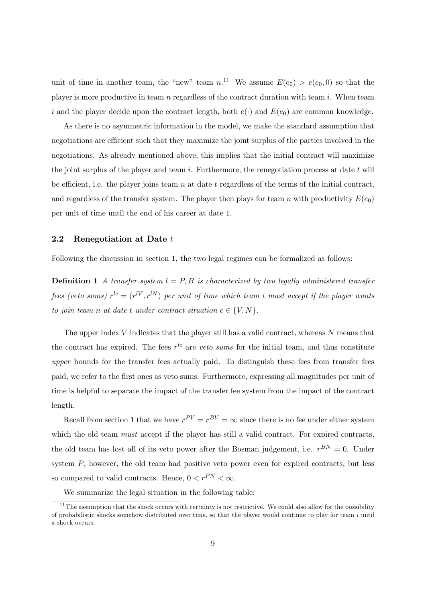unit of time in another team, the "new" team  $n^{11}$  We assume  $E(e_0) > e(e_0, 0)$  so that the player is more productive in team  $n$  regardless of the contract duration with team  $i$ . When team i and the player decide upon the contract length, both  $e(\cdot)$  and  $E(e_0)$  are common knowledge.

As there is no asymmetric information in the model, we make the standard assumption that negotiations are efficient such that they maximize the joint surplus of the parties involved in the negotiations. As already mentioned above, this implies that the initial contract will maximize the joint surplus of the player and team  $i$ . Furthermore, the renegotiation process at date  $t$  will be efficient, i.e. the player joins team n at date t regardless of the terms of the initial contract, and regardless of the transfer system. The player then plays for team n with productivity  $E(e_0)$ per unit of time until the end of his career at date 1.

#### 2.2 Renegotiation at Date t

Following the discussion in section 1, the two legal regimes can be formalized as follows:

**Definition 1** A transfer system  $l = P, B$  is characterized by two legally administered transfer fees (veto sums)  $r^{lc} = (r^{lV}, r^{lN})$  per unit of time which team i must accept if the player wants to join team n at date t under contract situation  $c \in \{V, N\}$ .

The upper index  $V$  indicates that the player still has a valid contract, whereas  $N$  means that the contract has expired. The fees  $r^{lc}$  are veto sums for the initial team, and thus constitute upper bounds for the transfer fees actually paid. To distinguish these fees from transfer fees paid, we refer to the Örst ones as veto sums. Furthermore, expressing all magnitudes per unit of time is helpful to separate the impact of the transfer fee system from the impact of the contract length.

Recall from section 1 that we have  $r^{PV} = r^{BV} = \infty$  since there is no fee under either system which the old team *must* accept if the player has still a valid contract. For expired contracts, the old team has lost all of its veto power after the Bosman judgement, i.e.  $r^{BN} = 0$ . Under system P, however, the old team had positive veto power even for expired contracts, but less so compared to valid contracts. Hence,  $0 < r^{PN} < \infty$ .

We summarize the legal situation in the following table:

 $11$ The assumption that the shock occurs with certainty is not restrictive. We could also allow for the possibility of probabilistic shocks somehow distributed over time, so that the player would continue to play for team  $i$  until a shock occurs.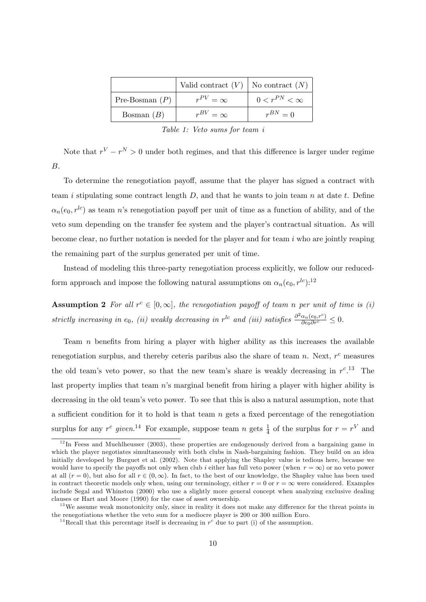|                  | Valid contract $(V)$   No contract $(N)$ |                       |
|------------------|------------------------------------------|-----------------------|
| Pre-Bosman $(P)$ | $r^{PV}=\infty$                          | $0 < r^{PN} < \infty$ |
| Bosman $(B)$     | $r^{BV}=\infty$                          | $r^{BN}=0$            |

Table 1: Veto sums for team i

Note that  $r^V - r^N > 0$  under both regimes, and that this difference is larger under regime B.

To determine the renegotiation payoff, assume that the player has signed a contract with team i stipulating some contract length  $D$ , and that he wants to join team  $n$  at date  $t$ . Define  $\alpha_n(e_0, r^{lc})$  as team n's renegotiation payoff per unit of time as a function of ability, and of the veto sum depending on the transfer fee system and the player's contractual situation. As will become clear, no further notation is needed for the player and for team  $i$  who are jointly reaping the remaining part of the surplus generated per unit of time.

Instead of modeling this three-party renegotiation process explicitly, we follow our reducedform approach and impose the following natural assumptions on  $\alpha_n(e_0, r^{lc})$ :<sup>12</sup>

**Assumption 2** For all  $r^c \in [0, \infty]$ , the renegotiation payoff of team n per unit of time is (i) strictly increasing in e<sub>0</sub>, (ii) weakly decreasing in  $r^{lc}$  and (iii) satisfies  $\frac{\partial^2 \alpha_n(e_0, r^c)}{\partial e_0 \partial r^c} \leq 0$ .

Team  $n$  benefits from hiring a player with higher ability as this increases the available renegotiation surplus, and thereby ceteris paribus also the share of team  $n$ . Next,  $r<sup>c</sup>$  measures the old team's veto power, so that the new team's share is weakly decreasing in  $r^{c}$ .<sup>13</sup> The last property implies that team  $n$ 's marginal benefit from hiring a player with higher ability is decreasing in the old team's veto power. To see that this is also a natural assumption, note that a sufficient condition for it to hold is that team  $n$  gets a fixed percentage of the renegotiation surplus for any  $r^c$  given.<sup>14</sup> For example, suppose team n gets  $\frac{1}{4}$  of the surplus for  $r = r^V$  and

 $12$ In Feess and Muehlheusser (2003), these properties are endogenously derived from a bargaining game in which the player negotiates simultaneously with both clubs in Nash-bargaining fashion. They build on an idea initially developed by Burguet et al. (2002). Note that applying the Shapley value is tedious here, because we would have to specify the payoffs not only when club i either has full veto power (when  $r = \infty$ ) or no veto power at all  $(r = 0)$ , but also for all  $r \in (0, \infty)$ . In fact, to the best of our knowledge, the Shapley value has been used in contract theoretic models only when, using our terminology, either  $r = 0$  or  $r = \infty$  were considered. Examples include Segal and Whinston (2000) who use a slightly more general concept when analyzing exclusive dealing clauses or Hart and Moore (1990) for the case of asset ownership.

<sup>&</sup>lt;sup>13</sup>We assume weak monotonicity only, since in reality it does not make any difference for the threat points in the renegotiations whether the veto sum for a mediocre player is 200 or 300 million Euro.

<sup>&</sup>lt;sup>14</sup> Recall that this percentage itself is decreasing in  $r^c$  due to part (i) of the assumption.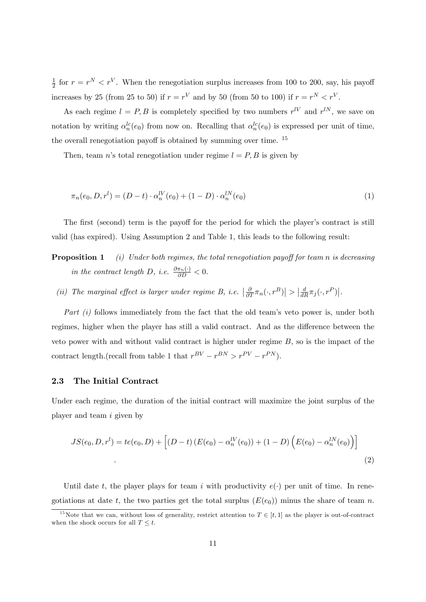1  $\frac{1}{2}$  for  $r = r^N < r^V$ . When the renegotiation surplus increases from 100 to 200, say, his payoff increases by 25 (from 25 to 50) if  $r = r^V$  and by 50 (from 50 to 100) if  $r = r^N < r^V$ .

As each regime  $l = P, B$  is completely specified by two numbers  $r^{lV}$  and  $r^{lN}$ , we save on notation by writing  $\alpha_n^{lc}(e_0)$  from now on. Recalling that  $\alpha_n^{lc}(e_0)$  is expressed per unit of time, the overall renegotiation payoff is obtained by summing over time.  $^{15}$ 

Then, team n's total renegotiation under regime  $l = P, B$  is given by

$$
\pi_n(e_0, D, r^l) = (D - t) \cdot \alpha_n^{lV}(e_0) + (1 - D) \cdot \alpha_n^{lN}(e_0)
$$
\n(1)

The first (second) term is the payoff for the period for which the player's contract is still valid (has expired). Using Assumption 2 and Table 1, this leads to the following result:

- **Proposition 1** (i) Under both regimes, the total renegotiation payoff for team n is decreasing in the contract length D, i.e.  $\frac{\partial \pi_n(\cdot)}{\partial D} < 0$ .
	- (ii) The marginal effect is larger under regime B, i.e.  $\left|\frac{\partial}{\partial T}\pi_n(\cdot,r^B)\right| > \left|\frac{d}{dR}\pi_j(\cdot,r^P)\right|$ .

Part  $(i)$  follows immediately from the fact that the old team's veto power is, under both regimes, higher when the player has still a valid contract. And as the difference between the veto power with and without valid contract is higher under regime  $B$ , so is the impact of the contract length.(recall from table 1 that  $r^{BV} - r^{BN} > r^{PV} - r^{PN}$ ).

#### 2.3 The Initial Contract

Under each regime, the duration of the initial contract will maximize the joint surplus of the player and team i given by

$$
JS(e_0, D, r^l) = te(e_0, D) + [(D - t) (E(e_0) - \alpha_n^{lV}(e_0)) + (1 - D) (E(e_0) - \alpha_n^{lN}(e_0))]
$$
\n(2)

Until date t, the player plays for team i with productivity  $e(\cdot)$  per unit of time. In renegotiations at date t, the two parties get the total surplus  $(E(e_0))$  minus the share of team n.

<sup>&</sup>lt;sup>15</sup>Note that we can, without loss of generality, restrict attention to  $T \in [t, 1]$  as the player is out-of-contract when the shock occurs for all  $T \leq t$ .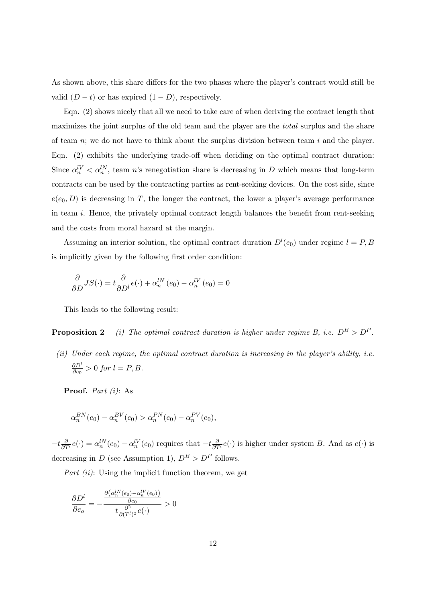As shown above, this share differs for the two phases where the player's contract would still be valid  $(D - t)$  or has expired  $(1 - D)$ , respectively.

Eqn. (2) shows nicely that all we need to take care of when deriving the contract length that maximizes the joint surplus of the old team and the player are the *total* surplus and the share of team  $n$ ; we do not have to think about the surplus division between team i and the player. Eqn.  $(2)$  exhibits the underlying trade-off when deciding on the optimal contract duration: Since  $\alpha_n^{\{V\}} < \alpha_n^{\{N\}}$ , team n's renegotiation share is decreasing in D which means that long-term contracts can be used by the contracting parties as rent-seeking devices. On the cost side, since  $e(e_0, D)$  is decreasing in T, the longer the contract, the lower a player's average performance in team  $i$ . Hence, the privately optimal contract length balances the benefit from rent-seeking and the costs from moral hazard at the margin.

Assuming an interior solution, the optimal contract duration  $D^{l}(e_0)$  under regime  $l = P, B$ is implicitly given by the following first order condition:

$$
\frac{\partial}{\partial D}JS(\cdot) = t \frac{\partial}{\partial D^l} e(\cdot) + \alpha_n^{lN}(e_0) - \alpha_n^{lV}(e_0) = 0
$$

This leads to the following result:

**Proposition 2** (i) The optimal contract duration is higher under regime B, i.e.  $D^B > D^P$ .

 $(ii)$  Under each regime, the optimal contract duration is increasing in the player's ability, i.e.  $\partial D^l$  $\frac{\partial D^{\epsilon}}{\partial e_0} > 0$  for  $l = P, B$ .

Proof. Part (i): As

$$
\alpha_n^{BN}(e_0)-\alpha_n^{BV}(e_0)>\alpha_n^{PN}(e_0)-\alpha_n^{PV}(e_0),
$$

 $-t\frac{\partial}{\partial T'}e(\cdot) = \alpha_n^{lN}(e_0) - \alpha_n^{lV}(e_0)$  requires that  $-t\frac{\partial}{\partial T'}e(\cdot)$  is higher under system B. And as  $e(\cdot)$  is decreasing in D (see Assumption 1),  $D^B > D^P$  follows.

Part  $(ii)$ : Using the implicit function theorem, we get

$$
\frac{\partial D^l}{\partial e_o} = -\frac{\frac{\partial (\alpha_n^{lN}(e_0) - \alpha_n^{lV}(e_0))}{\partial e_0}}{t \frac{\partial^2}{\partial (T^l)^2} e(\cdot)} > 0
$$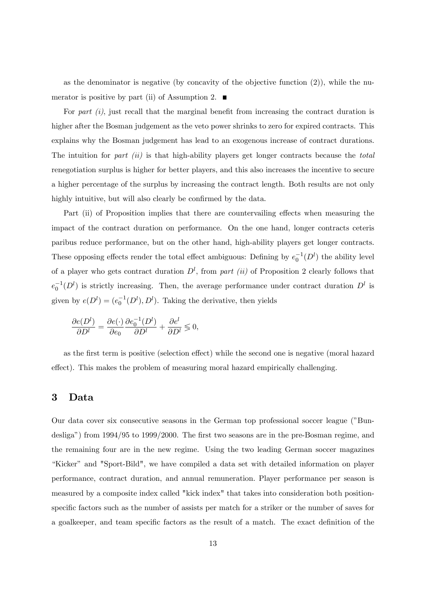as the denominator is negative (by concavity of the objective function (2)), while the numerator is positive by part (ii) of Assumption 2.  $\blacksquare$ 

For part  $(i)$ , just recall that the marginal benefit from increasing the contract duration is higher after the Bosman judgement as the veto power shrinks to zero for expired contracts. This explains why the Bosman judgement has lead to an exogenous increase of contract durations. The intuition for part (ii) is that high-ability players get longer contracts because the total renegotiation surplus is higher for better players, and this also increases the incentive to secure a higher percentage of the surplus by increasing the contract length. Both results are not only highly intuitive, but will also clearly be confirmed by the data.

Part (ii) of Proposition implies that there are countervailing effects when measuring the impact of the contract duration on performance. On the one hand, longer contracts ceteris paribus reduce performance, but on the other hand, high-ability players get longer contracts. These opposing effects render the total effect ambiguous: Defining by  $e_0^{-1}(D^l)$  the ability level of a player who gets contract duration  $D^l$ , from part (ii) of Proposition 2 clearly follows that  $e_0^{-1}(D^l)$  is strictly increasing. Then, the average performance under contract duration  $D^l$  is given by  $e(D^l) = (e_0^{-1}(D^l), D^l)$ . Taking the derivative, then yields

$$
\frac{\partial e(D^l)}{\partial D^l} = \frac{\partial e(\cdot)}{\partial e_0} \frac{\partial e_0^{-1}(D^l)}{\partial D^l} + \frac{\partial e^l}{\partial D^l} \lessgtr 0,
$$

as the first term is positive (selection effect) while the second one is negative (moral hazard effect). This makes the problem of measuring moral hazard empirically challenging.

## 3 Data

Our data cover six consecutive seasons in the German top professional soccer league ("Bundesliga") from  $1994/95$  to  $1999/2000$ . The first two seasons are in the pre-Bosman regime, and the remaining four are in the new regime. Using the two leading German soccer magazines "Kicker" and "Sport-Bild", we have compiled a data set with detailed information on player performance, contract duration, and annual remuneration. Player performance per season is measured by a composite index called "kick index" that takes into consideration both positionspecific factors such as the number of assists per match for a striker or the number of saves for a goalkeeper, and team specific factors as the result of a match. The exact definition of the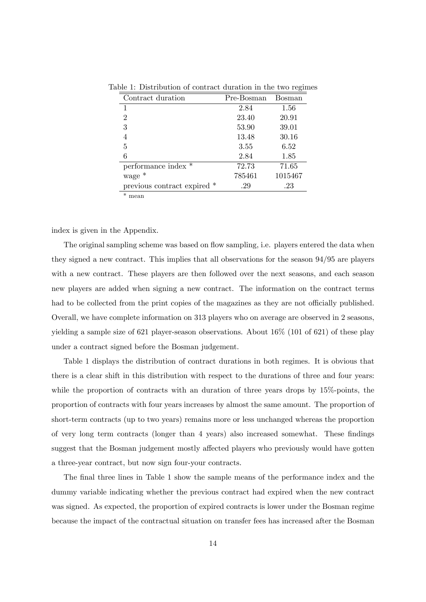| Contract duration           | Pre-Bosman | Bosman  |
|-----------------------------|------------|---------|
| 1                           | 2.84       | 1.56    |
| 2                           | 23.40      | 20.91   |
| 3                           | 53.90      | 39.01   |
|                             | 13.48      | 30.16   |
| 5                           | 3.55       | 6.52    |
| 6                           | 2.84       | 1.85    |
| performance index *         | 72.73      | 71.65   |
| wage *                      | 785461     | 1015467 |
| previous contract expired * | .29        | .23     |
| $\ast$<br>mean              |            |         |

Table 1: Distribution of contract duration in the two regimes

index is given in the Appendix.

The original sampling scheme was based on flow sampling, i.e. players entered the data when they signed a new contract. This implies that all observations for the season 94/95 are players with a new contract. These players are then followed over the next seasons, and each season new players are added when signing a new contract. The information on the contract terms had to be collected from the print copies of the magazines as they are not officially published. Overall, we have complete information on 313 players who on average are observed in 2 seasons, yielding a sample size of 621 player-season observations. About 16% (101 of 621) of these play under a contract signed before the Bosman judgement.

Table 1 displays the distribution of contract durations in both regimes. It is obvious that there is a clear shift in this distribution with respect to the durations of three and four years: while the proportion of contracts with an duration of three years drops by 15%-points, the proportion of contracts with four years increases by almost the same amount. The proportion of short-term contracts (up to two years) remains more or less unchanged whereas the proportion of very long term contracts (longer than 4 years) also increased somewhat. These findings suggest that the Bosman judgement mostly affected players who previously would have gotten a three-year contract, but now sign four-your contracts.

The final three lines in Table 1 show the sample means of the performance index and the dummy variable indicating whether the previous contract had expired when the new contract was signed. As expected, the proportion of expired contracts is lower under the Bosman regime because the impact of the contractual situation on transfer fees has increased after the Bosman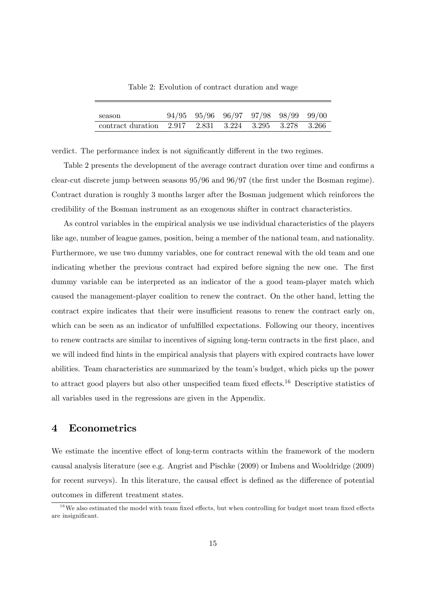| season                                                |  | $94/95$ $95/96$ $96/97$ $97/98$ $98/99$ $99/00$ |  |  |
|-------------------------------------------------------|--|-------------------------------------------------|--|--|
| contract duration 2.917 2.831 3.224 3.295 3.278 3.266 |  |                                                 |  |  |

Table 2: Evolution of contract duration and wage

verdict. The performance index is not significantly different in the two regimes.

Table 2 presents the development of the average contract duration over time and confirms a clear-cut discrete jump between seasons  $95/96$  and  $96/97$  (the first under the Bosman regime). Contract duration is roughly 3 months larger after the Bosman judgement which reinforces the credibility of the Bosman instrument as an exogenous shifter in contract characteristics.

As control variables in the empirical analysis we use individual characteristics of the players like age, number of league games, position, being a member of the national team, and nationality. Furthermore, we use two dummy variables, one for contract renewal with the old team and one indicating whether the previous contract had expired before signing the new one. The first dummy variable can be interpreted as an indicator of the a good team-player match which caused the management-player coalition to renew the contract. On the other hand, letting the contract expire indicates that their were insufficient reasons to renew the contract early on, which can be seen as an indicator of unfulfilled expectations. Following our theory, incentives to renew contracts are similar to incentives of signing long-term contracts in the first place, and we will indeed find hints in the empirical analysis that players with expired contracts have lower abilities. Team characteristics are summarized by the teamís budget, which picks up the power to attract good players but also other unspecified team fixed effects.<sup>16</sup> Descriptive statistics of all variables used in the regressions are given in the Appendix.

## 4 Econometrics

We estimate the incentive effect of long-term contracts within the framework of the modern causal analysis literature (see e.g. Angrist and Pischke (2009) or Imbens and Wooldridge (2009) for recent surveys). In this literature, the causal effect is defined as the difference of potential outcomes in different treatment states.

 $16$ We also estimated the model with team fixed effects, but when controlling for budget most team fixed effects are insignificant.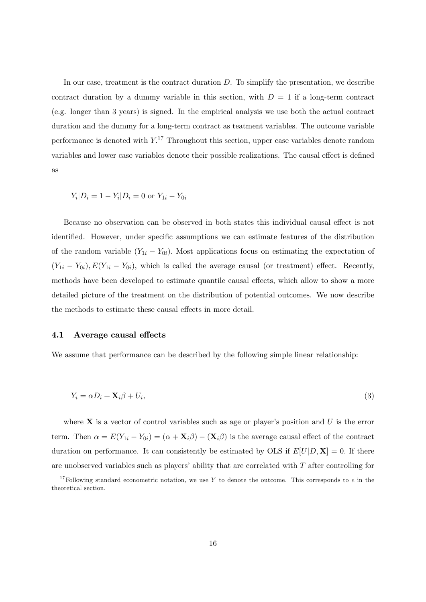In our case, treatment is the contract duration D. To simplify the presentation, we describe contract duration by a dummy variable in this section, with  $D = 1$  if a long-term contract (e.g. longer than 3 years) is signed. In the empirical analysis we use both the actual contract duration and the dummy for a long-term contract as teatment variables. The outcome variable performance is denoted with  $Y^{17}$ . Throughout this section, upper case variables denote random variables and lower case variables denote their possible realizations. The causal effect is defined as

$$
Y_i|D_i = 1 - Y_i|D_i = 0 \text{ or } Y_{1i} - Y_{0i}
$$

Because no observation can be observed in both states this individual causal effect is not identified. However, under specific assumptions we can estimate features of the distribution of the random variable  $(Y_{1i} - Y_{0i})$ . Most applications focus on estimating the expectation of  $(Y_{1i} - Y_{0i}), E(Y_{1i} - Y_{0i}),$  which is called the average causal (or treatment) effect. Recently, methods have been developed to estimate quantile causal effects, which allow to show a more detailed picture of the treatment on the distribution of potential outcomes. We now describe the methods to estimate these causal effects in more detail.

#### 4.1 Average causal effects

We assume that performance can be described by the following simple linear relationship:

$$
Y_i = \alpha D_i + \mathbf{X}_i \beta + U_i,\tag{3}
$$

where  $X$  is a vector of control variables such as age or player's position and U is the error term. Then  $\alpha = E(Y_{1i} - Y_{0i}) = (\alpha + \mathbf{X}_i \beta) - (\mathbf{X}_i \beta)$  is the average causal effect of the contract duration on performance. It can consistently be estimated by OLS if  $E[U|D, \mathbf{X}] = 0$ . If there are unobserved variables such as players' ability that are correlated with  $T$  after controlling for

<sup>&</sup>lt;sup>17</sup>Following standard econometric notation, we use Y to denote the outcome. This corresponds to e in the theoretical section.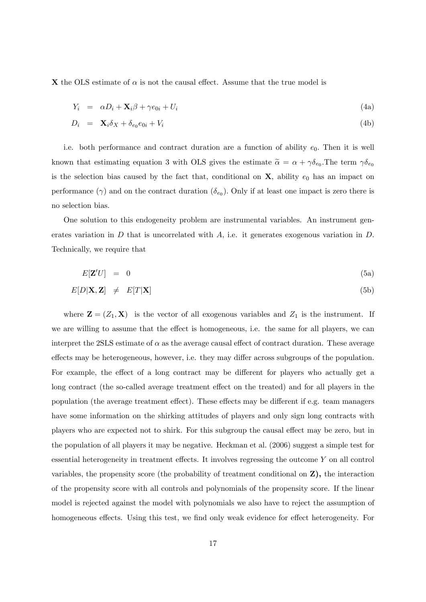X the OLS estimate of  $\alpha$  is not the causal effect. Assume that the true model is

$$
Y_i = \alpha D_i + \mathbf{X}_i \beta + \gamma e_{0i} + U_i \tag{4a}
$$

$$
D_i = \mathbf{X}_i \delta_X + \delta_{e_0} e_{0i} + V_i \tag{4b}
$$

i.e. both performance and contract duration are a function of ability  $e_0$ . Then it is well known that estimating equation 3 with OLS gives the estimate  $\tilde{\alpha} = \alpha + \gamma \delta_{e_0}$ . The term  $\gamma \delta_{e_0}$ is the selection bias caused by the fact that, conditional on  $X$ , ability  $e_0$  has an impact on performance ( $\gamma$ ) and on the contract duration ( $\delta_{e_0}$ ). Only if at least one impact is zero there is no selection bias.

One solution to this endogeneity problem are instrumental variables. An instrument generates variation in  $D$  that is uncorrelated with  $A$ , i.e. it generates exogenous variation in  $D$ . Technically, we require that

$$
E[\mathbf{Z}'U] = 0 \tag{5a}
$$

$$
E[D|X, Z] \neq E[T|X] \tag{5b}
$$

where  $\mathbf{Z} = (Z_1, \mathbf{X})$  is the vector of all exogenous variables and  $Z_1$  is the instrument. If we are willing to assume that the effect is homogeneous, i.e. the same for all players, we can interpret the 2SLS estimate of  $\alpha$  as the average causal effect of contract duration. These average effects may be heterogeneous, however, i.e. they may differ across subgroups of the population. For example, the effect of a long contract may be different for players who actually get a long contract (the so-called average treatment effect on the treated) and for all players in the population (the average treatment effect). These effects may be different if e.g. team managers have some information on the shirking attitudes of players and only sign long contracts with players who are expected not to shirk. For this subgroup the causal effect may be zero, but in the population of all players it may be negative. Heckman et al. (2006) suggest a simple test for essential heterogeneity in treatment effects. It involves regressing the outcome  $Y$  on all control variables, the propensity score (the probability of treatment conditional on Z), the interaction of the propensity score with all controls and polynomials of the propensity score. If the linear model is rejected against the model with polynomials we also have to reject the assumption of homogeneous effects. Using this test, we find only weak evidence for effect heterogeneity. For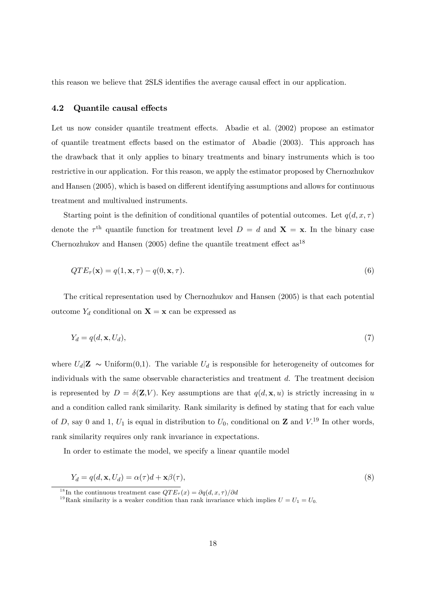this reason we believe that  $2SLS$  identifies the average causal effect in our application.

#### 4.2 Quantile causal effects

Let us now consider quantile treatment effects. Abadie et al. (2002) propose an estimator of quantile treatment effects based on the estimator of Abadie (2003). This approach has the drawback that it only applies to binary treatments and binary instruments which is too restrictive in our application. For this reason, we apply the estimator proposed by Chernozhukov and Hansen (2005), which is based on different identifying assumptions and allows for continuous treatment and multivalued instruments.

Starting point is the definition of conditional quantiles of potential outcomes. Let  $q(d, x, \tau)$ denote the  $\tau^{\text{th}}$  quantile function for treatment level  $D = d$  and  $\mathbf{X} = \mathbf{x}$ . In the binary case Chernozhukov and Hansen (2005) define the quantile treatment effect  $as^{18}$ 

$$
QTE_{\tau}(\mathbf{x}) = q(1, \mathbf{x}, \tau) - q(0, \mathbf{x}, \tau).
$$
\n(6)

The critical representation used by Chernozhukov and Hansen (2005) is that each potential outcome  $Y_d$  conditional on  $\mathbf{X} = \mathbf{x}$  can be expressed as

$$
Y_d = q(d, \mathbf{x}, U_d),\tag{7}
$$

where  $U_d|\mathbf{Z} \sim \text{Uniform}(0,1)$ . The variable  $U_d$  is responsible for heterogeneity of outcomes for individuals with the same observable characteristics and treatment  $d$ . The treatment decision is represented by  $D = \delta(\mathbf{Z}, V)$ . Key assumptions are that  $q(d, \mathbf{x}, u)$  is strictly increasing in u and a condition called rank similarity. Rank similarity is defined by stating that for each value of D, say 0 and 1,  $U_1$  is equal in distribution to  $U_0$ , conditional on **Z** and  $V^{19}$  In other words, rank similarity requires only rank invariance in expectations.

In order to estimate the model, we specify a linear quantile model

$$
Y_d = q(d, \mathbf{x}, U_d) = \alpha(\tau)d + \mathbf{x}\beta(\tau),\tag{8}
$$

<sup>&</sup>lt;sup>18</sup>In the continuous treatment case  $QTE_{\tau}(x) = \partial q(d, x, \tau)/\partial d$ 

<sup>&</sup>lt;sup>19</sup>Rank similarity is a weaker condition than rank invariance which implies  $U = U_1 = U_0$ .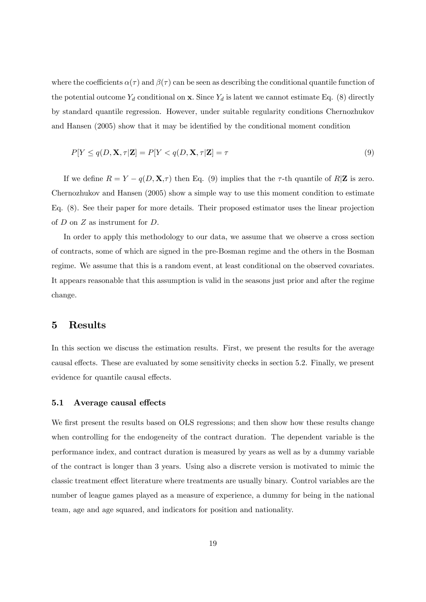where the coefficients  $\alpha(\tau)$  and  $\beta(\tau)$  can be seen as describing the conditional quantile function of the potential outcome  $Y_d$  conditional on **x**. Since  $Y_d$  is latent we cannot estimate Eq. (8) directly by standard quantile regression. However, under suitable regularity conditions Chernozhukov and Hansen (2005) show that it may be identified by the conditional moment condition

$$
P[Y \le q(D, \mathbf{X}, \tau | \mathbf{Z}] = P[Y < q(D, \mathbf{X}, \tau | \mathbf{Z}] = \tau \tag{9}
$$

If we define  $R = Y - q(D, \mathbf{X}, \tau)$  then Eq. (9) implies that the  $\tau$ -th quantile of R|Z is zero. Chernozhukov and Hansen (2005) show a simple way to use this moment condition to estimate Eq. (8). See their paper for more details. Their proposed estimator uses the linear projection of  $D$  on  $Z$  as instrument for  $D$ .

In order to apply this methodology to our data, we assume that we observe a cross section of contracts, some of which are signed in the pre-Bosman regime and the others in the Bosman regime. We assume that this is a random event, at least conditional on the observed covariates. It appears reasonable that this assumption is valid in the seasons just prior and after the regime change.

## 5 Results

In this section we discuss the estimation results. First, we present the results for the average causal effects. These are evaluated by some sensitivity checks in section 5.2. Finally, we present evidence for quantile causal effects.

#### 5.1 Average causal effects

We first present the results based on OLS regressions; and then show how these results change when controlling for the endogeneity of the contract duration. The dependent variable is the performance index, and contract duration is measured by years as well as by a dummy variable of the contract is longer than 3 years. Using also a discrete version is motivated to mimic the classic treatment effect literature where treatments are usually binary. Control variables are the number of league games played as a measure of experience, a dummy for being in the national team, age and age squared, and indicators for position and nationality.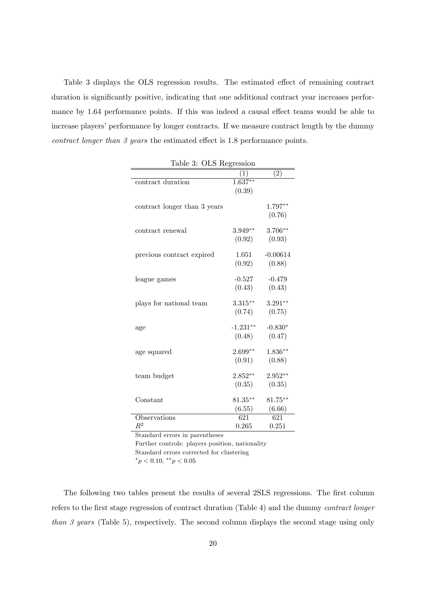Table 3 displays the OLS regression results. The estimated effect of remaining contract duration is significantly positive, indicating that one additional contract year increases performance by 1.64 performance points. If this was indeed a causal effect teams would be able to increase players' performance by longer contracts. If we measure contract length by the dummy contract longer than  $\beta$  years the estimated effect is 1.8 performance points.

| rapic o.<br>OTIO TOSTOSIOII  |                   |                   |
|------------------------------|-------------------|-------------------|
|                              | $\left( 1\right)$ | $\left( 2\right)$ |
| contract duration            | $1.637***$        |                   |
|                              | (0.39)            |                   |
|                              |                   |                   |
| contract longer than 3 years |                   | 1.797**           |
|                              |                   | (0.76)            |
| contract renewal             | $3.949**$         | $3.706**$         |
|                              | (0.92)            | (0.93)            |
|                              |                   |                   |
| previous contract expired    | 1.051             | $-0.00614$        |
|                              | (0.92)            | (0.88)            |
|                              |                   |                   |
| league games                 | $-0.527$          | $-0.479$          |
|                              | (0.43)            | (0.43)            |
|                              |                   |                   |
| plays for national team      | $3.315***$        | $3.291**$         |
|                              | (0.74)            | (0.75)            |
| age                          | $-1.231**$        | $-0.830*$         |
|                              | (0.48)            | (0.47)            |
|                              |                   |                   |
| age squared                  | $2.699**$         | $1.836**$         |
|                              | (0.91)            | (0.88)            |
|                              |                   |                   |
| team budget                  | $2.852**$         | $2.952**$         |
|                              | (0.35)            | (0.35)            |
| Constant                     | $81.35***$        | $81.75***$        |
|                              | (6.55)            | (6.66)            |
| Observations                 | 621               | 621               |
| $\,R^2$                      | 0.265             | 0.251             |
|                              |                   |                   |

Table 3: OLS Regression

Standard errors in parentheses

Further controls: players position, nationality

Standard errors corrected for clustering

 $*_{p}$  < 0.10,  $*_{p}$  < 0.05

The following two tables present the results of several 2SLS regressions. The first column refers to the first stage regression of contract duration (Table 4) and the dummy *contract longer* than 3 years (Table 5), respectively. The second column displays the second stage using only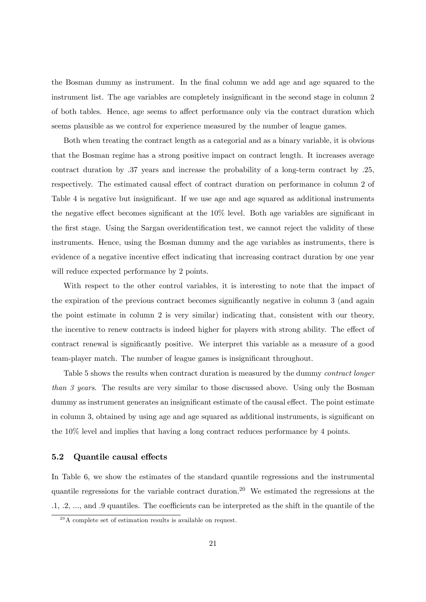the Bosman dummy as instrument. In the Önal column we add age and age squared to the instrument list. The age variables are completely insignificant in the second stage in column 2 of both tables. Hence, age seems to affect performance only via the contract duration which seems plausible as we control for experience measured by the number of league games.

Both when treating the contract length as a categorial and as a binary variable, it is obvious that the Bosman regime has a strong positive impact on contract length. It increases average contract duration by .37 years and increase the probability of a long-term contract by .25, respectively. The estimated causal effect of contract duration on performance in column 2 of Table 4 is negative but insignificant. If we use age and age squared as additional instruments the negative effect becomes significant at the  $10\%$  level. Both age variables are significant in the first stage. Using the Sargan overidentification test, we cannot reject the validity of these instruments. Hence, using the Bosman dummy and the age variables as instruments, there is evidence of a negative incentive effect indicating that increasing contract duration by one year will reduce expected performance by 2 points.

With respect to the other control variables, it is interesting to note that the impact of the expiration of the previous contract becomes significantly negative in column 3 (and again the point estimate in column 2 is very similar) indicating that, consistent with our theory, the incentive to renew contracts is indeed higher for players with strong ability. The effect of contract renewal is significantly positive. We interpret this variable as a measure of a good team-player match. The number of league games is insignificant throughout.

Table 5 shows the results when contract duration is measured by the dummy contract longer than 3 years. The results are very similar to those discussed above. Using only the Bosman dummy as instrument generates an insignificant estimate of the causal effect. The point estimate in column 3, obtained by using age and age squared as additional instruments, is significant on the 10% level and implies that having a long contract reduces performance by 4 points.

#### 5.2 Quantile causal effects

In Table 6, we show the estimates of the standard quantile regressions and the instrumental quantile regressions for the variable contract duration.<sup>20</sup> We estimated the regressions at the  $.1, .2, \ldots$ , and  $.9$  quantiles. The coefficients can be interpreted as the shift in the quantile of the

 $20$ A complete set of estimation results is available on request.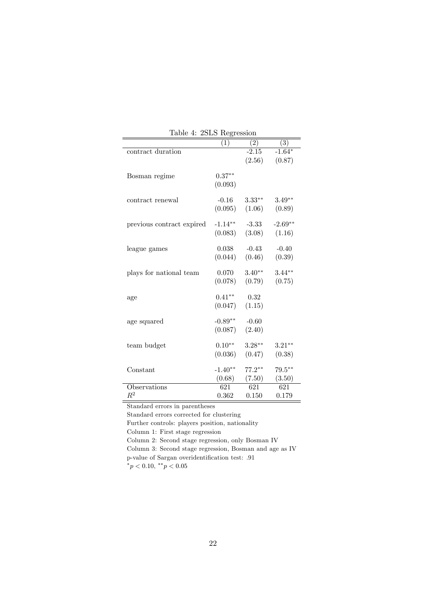| rapic 1.                  | $2010 - 105$ |                   |                   |
|---------------------------|--------------|-------------------|-------------------|
|                           | (1)          | $\left( 2\right)$ | $\left( 3\right)$ |
| contract duration         |              | $-2.15$           | $-1.64*$          |
|                           |              | (2.56)            | (0.87)            |
|                           |              |                   |                   |
| Bosman regime             | $0.37**$     |                   |                   |
|                           | (0.093)      |                   |                   |
|                           | $-0.16$      | $3.33***$         | $3.49**$          |
| contract renewal          |              |                   |                   |
|                           | (0.095)      | (1.06)            | (0.89)            |
| previous contract expired | $-1.14**$    | $-3.33$           | $-2.69**$         |
|                           | (0.083)      | (3.08)            | (1.16)            |
|                           |              |                   |                   |
| league games              | 0.038        | $-0.43$           | $-0.40$           |
|                           | (0.044)      | (0.46)            | (0.39)            |
|                           |              |                   |                   |
| plays for national team   | 0.070        | $3.40**$          | $3.44***$         |
|                           | (0.078)      | (0.79)            | (0.75)            |
|                           |              |                   |                   |
| age                       | $0.41**$     | 0.32              |                   |
|                           | (0.047)      | (1.15)            |                   |
|                           |              |                   |                   |
| age squared               | $-0.89**$    | $-0.60$           |                   |
|                           | (0.087)      | (2.40)            |                   |
|                           | $0.10**$     | $3.28***$         | $3.21***$         |
| team budget               |              |                   |                   |
|                           | (0.036)      | (0.47)            | (0.38)            |
| Constant                  | $-1.40**$    | $77.2**$          | $79.5***$         |
|                           | (0.68)       | (7.50)            | (3.50)            |
| Observations              | 621          | 621               | 621               |
| $\mathbb{R}^2$            | 0.362        | 0.150             | 0.179             |
|                           |              |                   |                   |

Table 4: 2SLS Regression

Standard errors in parentheses

Standard errors corrected for clustering

Further controls: players position, nationality

Column 1: First stage regression

Column 2: Second stage regression, only Bosman IV

Column 3: Second stage regression, Bosman and age as IV p-value of Sargan overidentification test: .91

 $^*p < 0.10, \; ^{**}p < 0.05$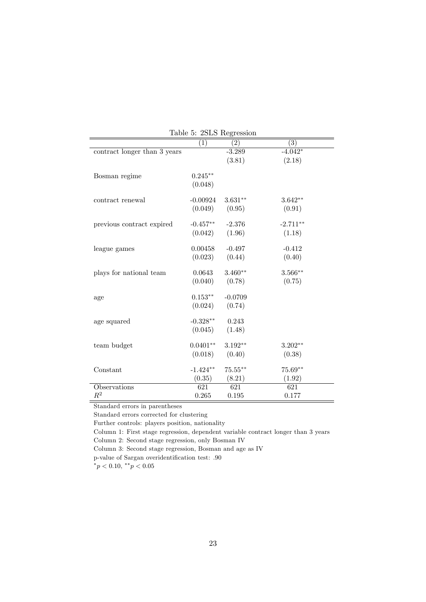|                              |                  | Table 5: 2SLS Regression |                  |
|------------------------------|------------------|--------------------------|------------------|
|                              | (1)              | $\left( 2\right)$        | (3)              |
| contract longer than 3 years |                  | $-3.289$                 | $-4.042*$        |
|                              |                  | (3.81)                   | (2.18)           |
| Bosman regime                | $0.245**$        |                          |                  |
|                              | (0.048)          |                          |                  |
| contract renewal             | $-0.00924$       | $3.631**$                | $3.642**$        |
|                              | (0.049)          | (0.95)                   | (0.91)           |
| previous contract expired    | $-0.457**$       | $-2.376$                 | $-2.711**$       |
|                              | (0.042)          | (1.96)                   | (1.18)           |
| league games                 | 0.00458          | $-0.497$                 | $-0.412$         |
|                              | (0.023)          | (0.44)                   | (0.40)           |
| plays for national team      | 0.0643           | $3.460**$                | $3.566***$       |
|                              | (0.040)          | (0.78)                   | (0.75)           |
| age                          | $0.153**$        | $-0.0709$                |                  |
|                              | (0.024)          | (0.74)                   |                  |
| age squared                  | $-0.328**$       | 0.243                    |                  |
|                              | (0.045)          | (1.48)                   |                  |
| team budget                  | $0.0401**$       | $3.192**$                | $3.202**$        |
|                              | (0.018)          | (0.40)                   | (0.38)           |
| Constant                     | $-1.424**$       | $75.55***$               | $75.69**$        |
|                              | (0.35)           | (8.21)                   | (1.92)           |
| Observations                 | $\overline{621}$ | $\overline{621}$         | $\overline{621}$ |
| $\mathbb{R}^2$               | 0.265            | 0.195                    | 0.177            |

Table 5: 2SLS Regression

Standard errors in parentheses

Standard errors corrected for clustering

Further controls: players position, nationality

Column 1: First stage regression, dependent variable contract longer than 3 years

Column 2: Second stage regression, only Bosman IV

Column 3: Second stage regression, Bosman and age as IV

p-value of Sargan overidentification test: .90

 $^*p < 0.10, \; ^{**}p < 0.05$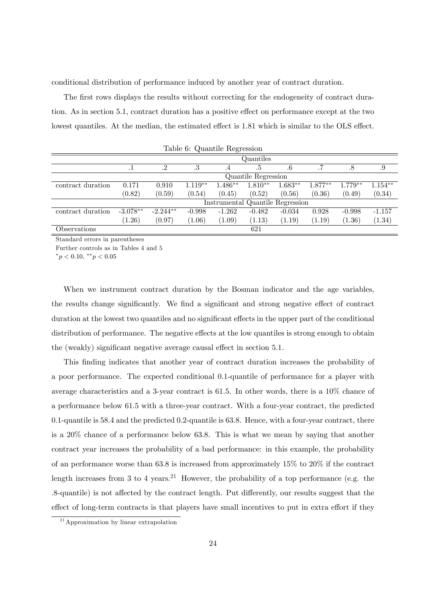conditional distribution of performance induced by another year of contract duration.

The first rows displays the results without correcting for the endogeneity of contract duration. As in section 5.1, contract duration has a positive effect on performance except at the two lowest quantiles. At the median, the estimated effect is 1.81 which is similar to the OLS effect.

|                   |            |            | Lable 0. Qualitie Regression |                                  |                     |           |           |           |           |
|-------------------|------------|------------|------------------------------|----------------------------------|---------------------|-----------|-----------|-----------|-----------|
|                   |            |            |                              |                                  | Quantiles           |           |           |           |           |
|                   |            | $\cdot^2$  | .3                           | .4                               | .5                  | $.6\,$    |           | .8        | .9        |
|                   |            |            |                              |                                  | Quantile Regression |           |           |           |           |
| contract duration | 0.171      | 0.910      | $1.119**$                    | $1.486**$                        | $1.810**$           | $1.683**$ | $1.877**$ | $1.779**$ | $1.154**$ |
|                   | (0.82)     | (0.59)     | (0.54)                       | (0.45)                           | (0.52)              | (0.56)    | (0.36)    | (0.49)    | (0.34)    |
|                   |            |            |                              | Instrumental Quantile Regression |                     |           |           |           |           |
| contract duration | $-3.078**$ | $-2.244**$ | $-0.998$                     | $-1.262$                         | $-0.482$            | $-0.034$  | 0.928     | $-0.998$  | $-1.157$  |
|                   | (1.26)     | (0.97)     | (1.06)                       | (1.09)                           | (1.13)              | (1.19)    | (1.19)    | (1.36)    | (1.34)    |
| Observations      |            |            |                              |                                  | 621                 |           |           |           |           |

Table 6: Quantile Regression

Standard errors in parentheses

Further controls as in Tables 4 and 5

 $*_{p}$  < 0.10,  $*_{p}$  < 0.05

When we instrument contract duration by the Bosman indicator and the age variables, the results change significantly. We find a significant and strong negative effect of contract duration at the lowest two quantiles and no significant effects in the upper part of the conditional distribution of performance. The negative effects at the low quantiles is strong enough to obtain the (weakly) significant negative average causal effect in section 5.1.

This Önding indicates that another year of contract duration increases the probability of a poor performance. The expected conditional 0.1-quantile of performance for a player with average characteristics and a 3-year contract is 61.5. In other words, there is a 10% chance of a performance below 61.5 with a three-year contract. With a four-year contract, the predicted 0.1-quantile is 58.4 and the predicted 0.2-quantile is 63.8. Hence, with a four-year contract, there is a 20% chance of a performance below 63.8. This is what we mean by saying that another contract year increases the probability of a bad performance: in this example, the probability of an performance worse than 63.8 is increased from approximately 15% to 20% if the contract length increases from 3 to 4 years.<sup>21</sup> However, the probability of a top performance (e.g. the .8-quantile) is not affected by the contract length. Put differently, our results suggest that the effect of long-term contracts is that players have small incentives to put in extra effort if they

<sup>21</sup>Approximation by linear extrapolation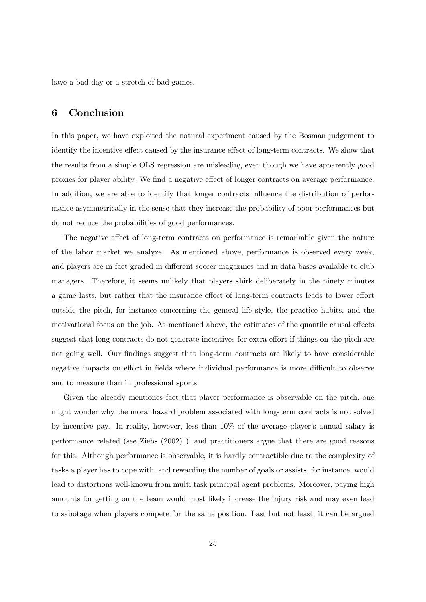have a bad day or a stretch of bad games.

## 6 Conclusion

In this paper, we have exploited the natural experiment caused by the Bosman judgement to identify the incentive effect caused by the insurance effect of long-term contracts. We show that the results from a simple OLS regression are misleading even though we have apparently good proxies for player ability. We find a negative effect of longer contracts on average performance. In addition, we are able to identify that longer contracts influence the distribution of performance asymmetrically in the sense that they increase the probability of poor performances but do not reduce the probabilities of good performances.

The negative effect of long-term contracts on performance is remarkable given the nature of the labor market we analyze. As mentioned above, performance is observed every week, and players are in fact graded in different soccer magazines and in data bases available to club managers. Therefore, it seems unlikely that players shirk deliberately in the ninety minutes a game lasts, but rather that the insurance effect of long-term contracts leads to lower effort outside the pitch, for instance concerning the general life style, the practice habits, and the motivational focus on the job. As mentioned above, the estimates of the quantile causal effects suggest that long contracts do not generate incentives for extra effort if things on the pitch are not going well. Our findings suggest that long-term contracts are likely to have considerable negative impacts on effort in fields where individual performance is more difficult to observe and to measure than in professional sports.

Given the already mentiones fact that player performance is observable on the pitch, one might wonder why the moral hazard problem associated with long-term contracts is not solved by incentive pay. In reality, however, less than  $10\%$  of the average player's annual salary is performance related (see Ziebs (2002) ), and practitioners argue that there are good reasons for this. Although performance is observable, it is hardly contractible due to the complexity of tasks a player has to cope with, and rewarding the number of goals or assists, for instance, would lead to distortions well-known from multi task principal agent problems. Moreover, paying high amounts for getting on the team would most likely increase the injury risk and may even lead to sabotage when players compete for the same position. Last but not least, it can be argued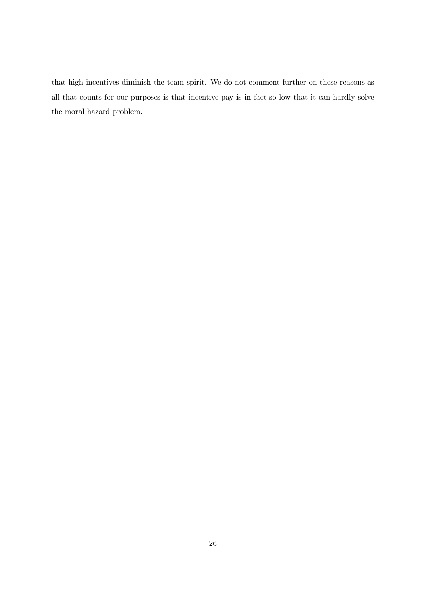that high incentives diminish the team spirit. We do not comment further on these reasons as all that counts for our purposes is that incentive pay is in fact so low that it can hardly solve the moral hazard problem.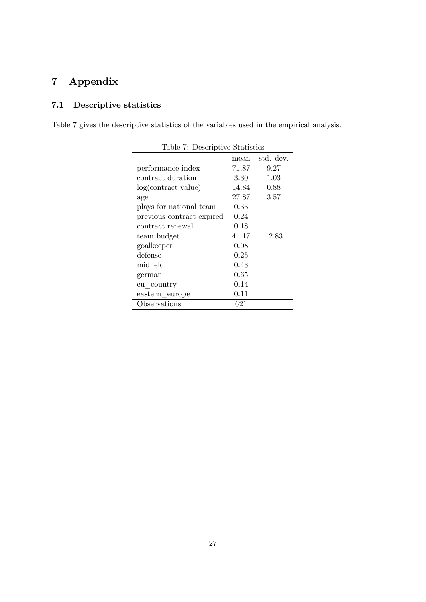## 7 Appendix

## 7.1 Descriptive statistics

Table 7 gives the descriptive statistics of the variables used in the empirical analysis.

| rapie 1. Descriptive praguence |       |           |  |  |
|--------------------------------|-------|-----------|--|--|
|                                | mean  | std. dev. |  |  |
| performance index              | 71.87 | 9.27      |  |  |
| contract duration              | 3.30  | 1.03      |  |  |
| log(contract value)            | 14.84 | 0.88      |  |  |
| age                            | 27.87 | 3.57      |  |  |
| plays for national team        | 0.33  |           |  |  |
| previous contract expired      | 0.24  |           |  |  |
| contract renewal               | 0.18  |           |  |  |
| team budget                    | 41.17 | 12.83     |  |  |
| goalkeeper                     | 0.08  |           |  |  |
| defense                        | 0.25  |           |  |  |
| midfield                       | 0.43  |           |  |  |
| german                         | 0.65  |           |  |  |
| eu country                     | 0.14  |           |  |  |
| eastern europe                 | 0.11  |           |  |  |
| Observations                   | 621   |           |  |  |

Table 7: Descriptive Statistics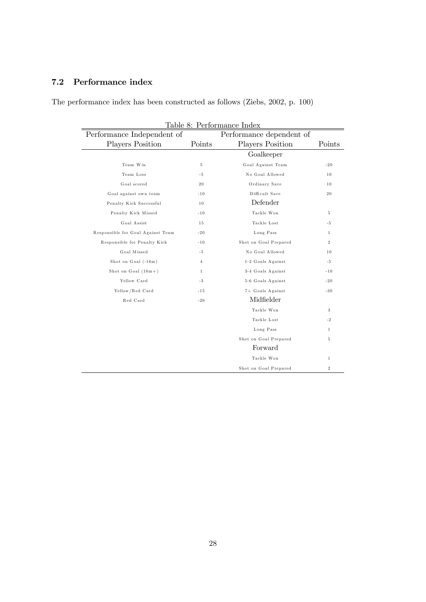## 7.2 Performance index

The performance index has been constructed as follows (Ziebs, 2002, p. 100)

| Table 8: Performance Index                             |              |                         |                |  |  |
|--------------------------------------------------------|--------------|-------------------------|----------------|--|--|
| Performance Independent of<br>Performance dependent of |              |                         |                |  |  |
| <b>Players Position</b>                                | Points       | <b>Players Position</b> | Points         |  |  |
|                                                        |              | Goalkeeper              |                |  |  |
| Team Win                                               | $\,$ 5       | Goal Against Team       | $-20$          |  |  |
| Team Loss                                              | -5           | No Goal Allowed         | 10             |  |  |
| Goal scored                                            | 20           | Ordinary Save           | 10             |  |  |
| Goal against own team                                  | $-10$        | Difficult Save          | 20             |  |  |
| Penalty Kick Successful                                | 10           | Defender                |                |  |  |
| Penalty Kick Missed                                    | $-10$        | Tackle Won              | 5              |  |  |
| Goal Assist                                            | 15           | Tackle Lost             | -5             |  |  |
| Responsible for Goal Against Team                      | $-20$        | Long Pass               | $\mathbf{1}$   |  |  |
| Responsible for Penalty Kick                           | $-10$        | Shot on Goal Prepared   | $\overline{2}$ |  |  |
| Goal Missed                                            | $-5$         | No Goal Allowed         | 10             |  |  |
| Shot on Goal (-16m)                                    | 4            | 1-2 Goals Against       | $-5$           |  |  |
| Shot on Goal $(16m + )$                                | $\mathbf{1}$ | 3-4 Goals Against       | $-10$          |  |  |
| Yellow Card                                            | $-3$         | 5-6 Goals Against       | $-20$          |  |  |
| Yellow/Red Card                                        | $-15$        | 7+ Goals Against        | $-30$          |  |  |
| Red Card                                               | $-20$        | Midfielder              |                |  |  |
|                                                        |              | Tackle Won              | 3              |  |  |
|                                                        |              | Tackle Lost             | $-2$           |  |  |
|                                                        |              | Long Pass               | $\mathbf{1}$   |  |  |
|                                                        |              | Shot on Goal Prepared   | 5              |  |  |
|                                                        |              | Forward                 |                |  |  |
|                                                        |              | Tackle Won              | $\mathbf{1}$   |  |  |
|                                                        |              | Shot on Goal Prepared   | $\,2$          |  |  |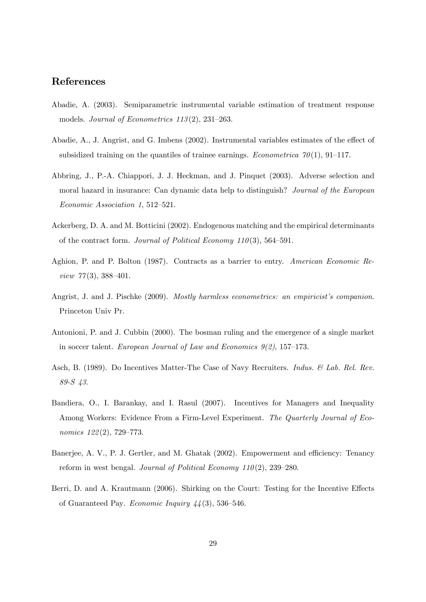## References

- Abadie, A. (2003). Semiparametric instrumental variable estimation of treatment response models. Journal of Econometrics  $113(2)$ ,  $231-263$ .
- Abadie, A., J. Angrist, and G. Imbens  $(2002)$ . Instrumental variables estimates of the effect of subsidized training on the quantiles of trainee earnings. *Econometrica* 70(1), 91–117.
- Abbring, J., P.-A. Chiappori, J. J. Heckman, and J. Pinquet (2003). Adverse selection and moral hazard in insurance: Can dynamic data help to distinguish? Journal of the European  $Economic Association 1, 512–521.$
- Ackerberg, D. A. and M. Botticini (2002). Endogenous matching and the empirical determinants of the contract form. Journal of Political Economy  $110(3)$ , 564–591.
- Aghion, P. and P. Bolton (1987). Contracts as a barrier to entry. American Economic Review  $77(3)$ , 388-401.
- Angrist, J. and J. Pischke (2009). Mostly harmless econometrics: an empiricist's companion. Princeton Univ Pr.
- Antonioni, P. and J. Cubbin (2000). The bosman ruling and the emergence of a single market in soccer talent. European Journal of Law and Economics  $9(2)$ , 157–173.
- Asch, B. (1989). Do Incentives Matter-The Case of Navy Recruiters. *Indus. & Lab. Rel. Rev.* 89-S 43.
- Bandiera, O., I. Barankay, and I. Rasul (2007). Incentives for Managers and Inequality Among Workers: Evidence From a Firm-Level Experiment. The Quarterly Journal of Economics  $122(2)$ , 729–773.
- Banerjee, A. V., P. J. Gertler, and M. Ghatak (2002). Empowerment and efficiency: Tenancy reform in west bengal. Journal of Political Economy  $110(2)$ , 239–280.
- Berri, D. and A. Krautmann (2006). Shirking on the Court: Testing for the Incentive Effects of Guaranteed Pay. Economic Inquiry  $44(3)$ , 536–546.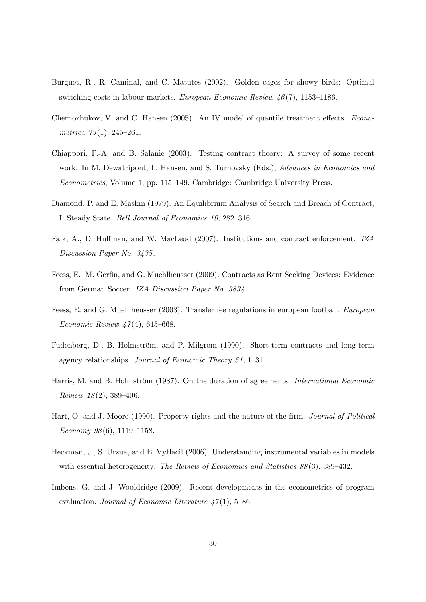- Burguet, R., R. Caminal, and C. Matutes (2002). Golden cages for showy birds: Optimal switching costs in labour markets. European Economic Review  $\mu(7)$ , 1153–1186.
- Chernozhukov, V. and C. Hansen (2005). An IV model of quantile treatment effects. Econometrica  $73(1)$ , 245-261.
- Chiappori, P.-A. and B. Salanie (2003). Testing contract theory: A survey of some recent work. In M. Dewatripont, L. Hansen, and S. Turnovsky (Eds.), Advances in Economics and Econometrics, Volume 1, pp. 115–149. Cambridge: Cambridge University Press.
- Diamond, P. and E. Maskin (1979). An Equilibrium Analysis of Search and Breach of Contract, I: Steady State. Bell Journal of Economics 10, 282-316.
- Falk, A., D. Huffman, and W. MacLeod (2007). Institutions and contract enforcement. IZA Discussion Paper No. 3435 .
- Feess, E., M. Gerfin, and G. Muehlheusser (2009). Contracts as Rent Seeking Devices: Evidence from German Soccer. IZA Discussion Paper No. 3834 .
- Feess, E. and G. Muehlheusser (2003). Transfer fee regulations in european football. European Economic Review  $47(4)$ , 645–668.
- Fudenberg, D., B. Holmström, and P. Milgrom (1990). Short-term contracts and long-term agency relationships. Journal of Economic Theory 51,  $1-31$ .
- Harris, M. and B. Holmström (1987). On the duration of agreements. *International Economic*  $Review\ 18(2),\ 389-406.$
- Hart, O. and J. Moore (1990). Property rights and the nature of the firm. *Journal of Political* Economy  $98(6)$ , 1119–1158.
- Heckman, J., S. Urzua, and E. Vytlacil (2006). Understanding instrumental variables in models with essential heterogeneity. The Review of Economics and Statistics  $88(3)$ ,  $389-432$ .
- Imbens, G. and J. Wooldridge (2009). Recent developments in the econometrics of program evaluation. Journal of Economic Literature  $47(1)$ , 5-86.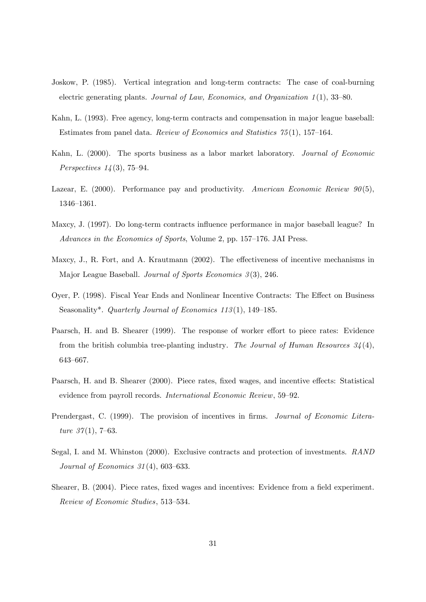- Joskow, P. (1985). Vertical integration and long-term contracts: The case of coal-burning electric generating plants. Journal of Law, Economics, and Organization  $1(1)$ , 33–80.
- Kahn, L. (1993). Free agency, long-term contracts and compensation in major league baseball: Estimates from panel data. Review of Economics and Statistics  $75(1)$ , 157–164.
- Kahn, L. (2000). The sports business as a labor market laboratory. Journal of Economic *Perspectives*  $14(3)$ , 75–94.
- Lazear, E. (2000). Performance pay and productivity. American Economic Review  $90(5)$ , 1346-1361.
- Maxcy, J. (1997). Do long-term contracts ináuence performance in major baseball league? In Advances in the Economics of Sports, Volume 2, pp. 157–176. JAI Press.
- Maxcy, J., R. Fort, and A. Krautmann (2002). The effectiveness of incentive mechanisms in Major League Baseball. Journal of Sports Economics 3(3), 246.
- Oyer, P. (1998). Fiscal Year Ends and Nonlinear Incentive Contracts: The Effect on Business Seasonality\*. Quarterly Journal of Economics 113(1), 149–185.
- Paarsch, H. and B. Shearer (1999). The response of worker effort to piece rates: Evidence from the british columbia tree-planting industry. The Journal of Human Resources  $34(4)$ , 643-667.
- Paarsch, H. and B. Shearer (2000). Piece rates, fixed wages, and incentive effects: Statistical evidence from payroll records. *International Economic Review*, 59–92.
- Prendergast, C. (1999). The provision of incentives in firms. Journal of Economic Literature  $37(1)$ , 7–63.
- Segal, I. and M. Whinston (2000). Exclusive contracts and protection of investments. RAND Journal of Economics  $31(4)$ , 603-633.
- Shearer, B. (2004). Piece rates, fixed wages and incentives: Evidence from a field experiment. Review of Economic Studies, 513–534.